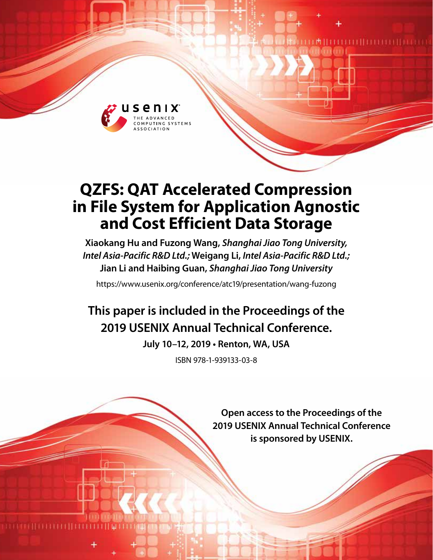

# **QZFS: QAT Accelerated Compression in File System for Application Agnostic and Cost Efficient Data Storage**

**Xiaokang Hu and Fuzong Wang,** *Shanghai Jiao Tong University, Intel Asia-Pacific R&D Ltd.;* **Weigang Li,** *Intel Asia-Pacific R&D Ltd.;*  **Jian Li and Haibing Guan,** *Shanghai Jiao Tong University*

https://www.usenix.org/conference/atc19/presentation/wang-fuzong

## **This paper is included in the Proceedings of the 2019 USENIX Annual Technical Conference.**

**July 10–12, 2019 • Renton, WA, USA**

ISBN 978-1-939133-03-8

**Open access to the Proceedings of the 2019 USENIX Annual Technical Conference is sponsored by USENIX.**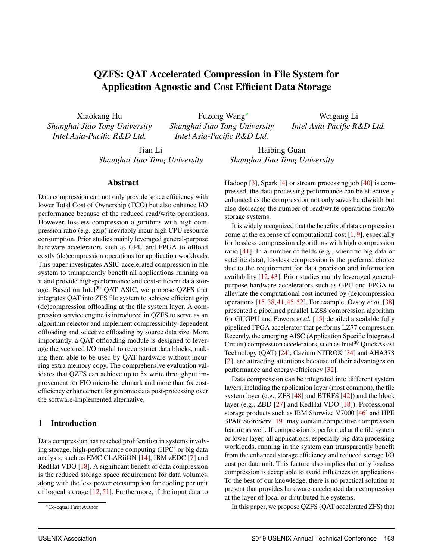## QZFS: QAT Accelerated Compression in File System for Application Agnostic and Cost Efficient Data Storage

Xiaokang Hu *Shanghai Jiao Tong University Intel Asia-Pacific R&D Ltd.*

Fuzong Wang<sup>∗</sup> *Shanghai Jiao Tong University Intel Asia-Pacific R&D Ltd.*

Weigang Li *Intel Asia-Pacific R&D Ltd.*

Jian Li *Shanghai Jiao Tong University*

Haibing Guan *Shanghai Jiao Tong University*

#### Abstract

Data compression can not only provide space efficiency with lower Total Cost of Ownership (TCO) but also enhance I/O performance because of the reduced read/write operations. However, lossless compression algorithms with high compression ratio (e.g. gzip) inevitably incur high CPU resource consumption. Prior studies mainly leveraged general-purpose hardware accelerators such as GPU and FPGA to offload costly (de)compression operations for application workloads. This paper investigates ASIC-accelerated compression in file system to transparently benefit all applications running on it and provide high-performance and cost-efficient data storage. Based on Intel® QAT ASIC, we propose QZFS that integrates QAT into ZFS file system to achieve efficient gzip (de)compression offloading at the file system layer. A compression service engine is introduced in QZFS to serve as an algorithm selector and implement compressibility-dependent offloading and selective offloading by source data size. More importantly, a QAT offloading module is designed to leverage the vectored I/O model to reconstruct data blocks, making them able to be used by QAT hardware without incurring extra memory copy. The comprehensive evaluation validates that QZFS can achieve up to 5x write throughput improvement for FIO micro-benchmark and more than 6x costefficiency enhancement for genomic data post-processing over the software-implemented alternative.

#### 1 Introduction

Data compression has reached proliferation in systems involving storage, high-performance computing (HPC) or big data analysis, such as EMC CLARiiON [\[14\]](#page-13-0), IBM zEDC [\[7\]](#page-12-0) and RedHat VDO [\[18\]](#page-13-1). A significant benefit of data compression is the reduced storage space requirement for data volumes, along with the less power consumption for cooling per unit of logical storage [\[12,](#page-12-1) [51\]](#page-14-0). Furthermore, if the input data to

Hadoop [\[3\]](#page-12-2), Spark [\[4\]](#page-12-3) or stream processing job [\[40\]](#page-14-1) is compressed, the data processing performance can be effectively enhanced as the compression not only saves bandwidth but also decreases the number of read/write operations from/to storage systems.

It is widely recognized that the benefits of data compression come at the expense of computational cost  $[1, 9]$  $[1, 9]$  $[1, 9]$ , especially for lossless compression algorithms with high compression ratio [\[41\]](#page-14-2). In a number of fields (e.g., scientific big data or satellite data), lossless compression is the preferred choice due to the requirement for data precision and information availability [\[12,](#page-12-1) [43\]](#page-14-3). Prior studies mainly leveraged generalpurpose hardware accelerators such as GPU and FPGA to alleviate the computational cost incurred by (de)compression operations [\[15,](#page-13-2) [38,](#page-14-4) [41,](#page-14-2) [45,](#page-14-5) [52\]](#page-14-6). For example, Ozsoy *et al.* [\[38\]](#page-14-4) presented a pipelined parallel LZSS compression algorithm for GUGPU and Fowers *et al.* [\[15\]](#page-13-2) detailed a scalable fully pipelined FPGA accelerator that performs LZ77 compression. Recently, the emerging AISC (Application Specific Integrated Circuit) compression accelerators, such as Intel® QuickAssist Technology (QAT) [\[24\]](#page-13-3), Cavium NITROX [\[34\]](#page-13-4) and AHA378 [\[2\]](#page-12-6), are attracting attentions because of their advantages on performance and energy-efficiency [\[32\]](#page-13-5).

Data compression can be integrated into different system layers, including the application layer (most common), the file system layer (e.g., ZFS [\[48\]](#page-14-7) and BTRFS [\[42\]](#page-14-8)) and the block layer (e.g., ZBD [\[27\]](#page-13-6) and RedHat VDO [\[18\]](#page-13-1)). Professional storage products such as IBM Storwize V7000 [\[46\]](#page-14-9) and HPE 3PAR StoreServ [\[19\]](#page-13-7) may contain competitive compression feature as well. If compression is performed at the file system or lower layer, all applications, especially big data processing workloads, running in the system can transparently benefit from the enhanced storage efficiency and reduced storage I/O cost per data unit. This feature also implies that only lossless compression is acceptable to avoid influences on applications. To the best of our knowledge, there is no practical solution at present that provides hardware-accelerated data compression at the layer of local or distributed file systems.

In this paper, we propose QZFS (QAT accelerated ZFS) that

<sup>∗</sup>Co-equal First Author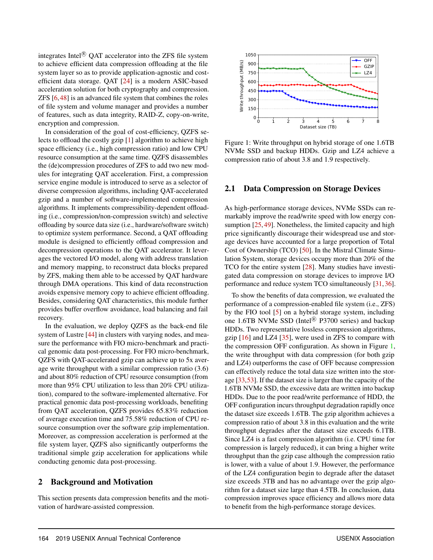integrates Intel ${}^{\circledR}$  OAT accelerator into the ZFS file system to achieve efficient data compression offloading at the file system layer so as to provide application-agnostic and costefficient data storage. QAT [\[24\]](#page-13-3) is a modern ASIC-based acceleration solution for both cryptography and compression. ZFS [\[6,](#page-12-7)[48\]](#page-14-7) is an advanced file system that combines the roles of file system and volume manager and provides a number of features, such as data integrity, RAID-Z, copy-on-write, encryption and compression.

In consideration of the goal of cost-efficiency, QZFS selects to offload the costly gzip [\[1\]](#page-12-4) algorithm to achieve high space efficiency (i.e., high compression ratio) and low CPU resource consumption at the same time. QZFS disassembles the (de)compression procedures of ZFS to add two new modules for integrating QAT acceleration. First, a compression service engine module is introduced to serve as a selector of diverse compression algorithms, including QAT-accelerated gzip and a number of software-implemented compression algorithms. It implements compressibility-dependent offloading (i.e., compression/non-compression switch) and selective offloading by source data size (i.e., hardware/software switch) to optimize system performance. Second, a QAT offloading module is designed to efficiently offload compression and decompression operations to the QAT accelerator. It leverages the vectored I/O model, along with address translation and memory mapping, to reconstruct data blocks prepared by ZFS, making them able to be accessed by QAT hardware through DMA operations. This kind of data reconstruction avoids expensive memory copy to achieve efficient offloading. Besides, considering QAT characteristics, this module further provides buffer overflow avoidance, load balancing and fail recovery.

In the evaluation, we deploy QZFS as the back-end file system of Lustre [\[44\]](#page-14-10) in clusters with varying nodes, and measure the performance with FIO micro-benchmark and practical genomic data post-processing. For FIO micro-benchmark, QZFS with QAT-accelerated gzip can achieve up to 5x average write throughput with a similar compression ratio (3.6) and about 80% reduction of CPU resource consumption (from more than 95% CPU utilization to less than 20% CPU utilization), compared to the software-implemented alternative. For practical genomic data post-processing workloads, benefiting from QAT acceleration, QZFS provides 65.83% reduction of average execution time and 75.58% reduction of CPU resource consumption over the software gzip implementation. Moreover, as compression acceleration is performed at the file system layer, QZFS also significantly outperforms the traditional simple gzip acceleration for applications while conducting genomic data post-processing.

## 2 Background and Motivation

This section presents data compression benefits and the motivation of hardware-assisted compression.

<span id="page-2-0"></span>

Figure 1: Write throughput on hybrid storage of one 1.6TB NVMe SSD and backup HDDs. Gzip and LZ4 achieve a compression ratio of about 3.8 and 1.9 respectively.

#### 2.1 Data Compression on Storage Devices

As high-performance storage devices, NVMe SSDs can remarkably improve the read/write speed with low energy con-sumption [\[25,](#page-13-8) [49\]](#page-14-11). Nonetheless, the limited capacity and high price significantly discourage their widespread use and storage devices have accounted for a large proportion of Total Cost of Ownership (TCO) [\[50\]](#page-14-12). In the Mistral Climate Simulation System, storage devices occupy more than 20% of the TCO for the entire system [\[28\]](#page-13-9). Many studies have investigated data compression on storage devices to improve I/O performance and reduce system TCO simultaneously [\[31,](#page-13-10)[36\]](#page-13-11).

To show the benefits of data compression, we evaluated the performance of a compression-enabled file system (i.e., ZFS) by the FIO tool [\[5\]](#page-12-8) on a hybrid storage system, including one 1.6TB NVMe SSD (Intel<sup>®</sup> P3700 series) and backup HDDs. Two representative lossless compression algorithms, gzip  $[16]$  and LZ4  $[35]$ , were used in ZFS to compare with the compression OFF configuration. As shown in Figure [1,](#page-2-0) the write throughput with data compression (for both gzip and LZ4) outperforms the case of OFF because compression can effectively reduce the total data size written into the storage [\[33](#page-13-14)[,53\]](#page-14-13). If the dataset size is larger than the capacity of the 1.6TB NVMe SSD, the excessive data are written into backup HDDs. Due to the poor read/write performance of HDD, the OFF configuration incurs throughput degradation rapidly once the dataset size exceeds 1.6TB. The gzip algorithm achieves a compression ratio of about 3.8 in this evaluation and the write throughput degrades after the dataset size exceeds 6.1TB. Since LZ4 is a fast compression algorithm (i.e. CPU time for compression is largely reduced), it can bring a higher write throughput than the gzip case although the compression ratio is lower, with a value of about 1.9. However, the performance of the LZ4 configuration begin to degrade after the dataset size exceeds 3TB and has no advantage over the gzip algorithm for a dataset size large than 4.5TB. In conclusion, data compression improves space efficiency and allows more data to benefit from the high-performance storage devices.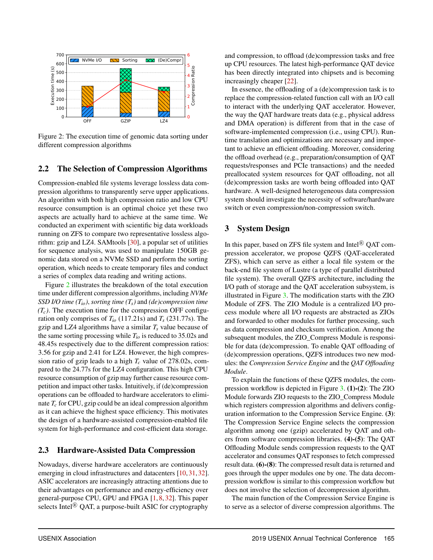<span id="page-3-0"></span>

Figure 2: The execution time of genomic data sorting under different compression algorithms

## 2.2 The Selection of Compression Algorithms

Compression-enabled file systems leverage lossless data compression algorithms to transparently serve upper applications. An algorithm with both high compression ratio and low CPU resource consumption is an optimal choice yet these two aspects are actually hard to achieve at the same time. We conducted an experiment with scientific big data workloads running on ZFS to compare two representative lossless algorithm: gzip and LZ4. SAMtools [\[30\]](#page-13-15), a popular set of utilities for sequence analysis, was used to manipulate 150GB genomic data stored on a NVMe SSD and perform the sorting operation, which needs to create temporary files and conduct a series of complex data reading and writing actions.

Figure [2](#page-3-0) illustrates the breakdown of the total execution time under different compression algorithms, including *NVMe SSD I/O time (Tio)*, *sorting time (Ts)* and *(de)compression time*  $(T_c)$ . The execution time for the compression OFF configuration only comprises of  $T_{io}$  (117.21s) and  $T_s$  (231.77s). The gzip and LZ4 algorithms have a similar  $T_s$  value because of the same sorting processing while *Tio* is reduced to 35.02s and 48.45s respectively due to the different compression ratios: 3.56 for gzip and 2.41 for LZ4. However, the high compression ratio of gzip leads to a high *T<sup>c</sup>* value of 278.02s, compared to the 24.77s for the LZ4 configuration. This high CPU resource consumption of gzip may further cause resource competition and impact other tasks. Intuitively, if (de)compression operations can be offloaded to hardware accelerators to eliminate *T<sup>c</sup>* for CPU, gzip could be an ideal compression algorithm as it can achieve the highest space efficiency. This motivates the design of a hardware-assisted compression-enabled file system for high-performance and cost-efficient data storage.

#### 2.3 Hardware-Assisted Data Compression

Nowadays, diverse hardware accelerators are continuously emerging in cloud infrastructures and datacenters [\[10,](#page-12-9) [31,](#page-13-10) [32\]](#page-13-5). ASIC accelerators are increasingly attracting attentions due to their advantages on performance and energy-efficiency over general-purpose CPU, GPU and FPGA [\[1,](#page-12-4) [8,](#page-12-10) [32\]](#page-13-5). This paper selects Intel<sup> $\&$ </sup> QAT, a purpose-built ASIC for cryptography

and compression, to offload (de)compression tasks and free up CPU resources. The latest high-performance QAT device has been directly integrated into chipsets and is becoming increasingly cheaper [\[22\]](#page-13-16).

In essence, the offloading of a (de)compression task is to replace the compression-related function call with an I/O call to interact with the underlying QAT accelerator. However, the way the QAT hardware treats data (e.g., physical address and DMA operation) is different from that in the case of software-implemented compression (i.e., using CPU). Runtime translation and optimizations are necessary and important to achieve an efficient offloading. Moreover, considering the offload overhead (e.g., preparation/consumption of QAT requests/responses and PCIe transactions) and the needed preallocated system resources for QAT offloading, not all (de)compression tasks are worth being offloaded into QAT hardware. A well-designed heterogeneous data compression system should investigate the necessity of software/hardware switch or even compression/non-compression switch.

#### 3 System Design

In this paper, based on ZFS file system and Intel ${}^{\circledR}$  QAT compression accelerator, we propose QZFS (QAT-accelerated ZFS), which can serve as either a local file system or the back-end file system of Lustre (a type of parallel distributed file system). The overall QZFS architecture, including the I/O path of storage and the QAT acceleration subsystem, is illustrated in Figure [3.](#page-4-0) The modification starts with the ZIO Module of ZFS. The ZIO Module is a centralized I/O process module where all I/O requests are abstracted as ZIOs and forwarded to other modules for further processing, such as data compression and checksum verification. Among the subsequent modules, the ZIO\_Compress Module is responsible for data (de)compression. To enable QAT offloading of (de)compression operations, QZFS introduces two new modules: the *Compression Service Engine* and the *QAT Offloading Module*.

To explain the functions of these QZFS modules, the compression workflow is depicted in Figure [3.](#page-4-0) (1)-(2): The ZIO Module forwards ZIO requests to the ZIO\_Compress Module which registers compression algorithms and delivers configuration information to the Compression Service Engine. (3): The Compression Service Engine selects the compression algorithm among one (gzip) accelerated by QAT and others from software compression libraries. (4)-(5): The QAT Offloading Module sends compression requests to the QAT accelerator and consumes QAT responses to fetch compressed result data. (6)-(8): The compressed result data is returned and goes through the upper modules one by one. The data decompression workflow is similar to this compression workflow but does not involve the selection of decompression algorithm.

The main function of the Compression Service Engine is to serve as a selector of diverse compression algorithms. The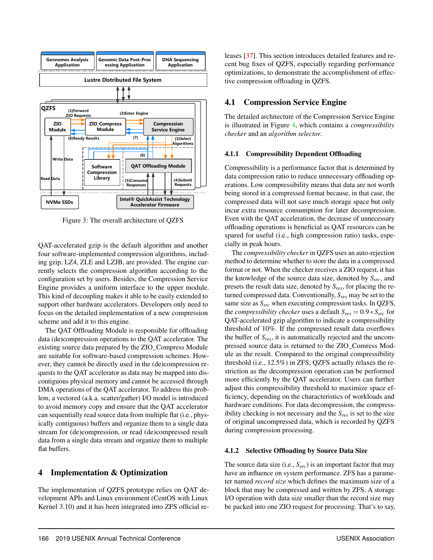<span id="page-4-0"></span>

Figure 3: The overall architecture of QZFS

QAT-accelerated gzip is the default algorithm and another four software-implemented compression algorithms, including gzip, LZ4, ZLE and LZJB, are provided. The engine currently selects the compression algorithm according to the configuration set by users. Besides, the Compression Service Engine provides a uniform interface to the upper module. This kind of decoupling makes it able to be easily extended to support other hardware accelerators. Developers only need to focus on the detailed implementation of a new compression scheme and add it to this engine.

The QAT Offloading Module is responsible for offloading data (de)compression operations to the QAT accelerator. The existing source data prepared by the ZIO\_Compress Module are suitable for software-based compression schemes. However, they cannot be directly used in the (de)compression requests to the QAT accelerator as data may be mapped into discontiguous physical memory and cannot be accessed through DMA operations of the QAT accelerator. To address this problem, a vectored (a.k.a. scatter/gather) I/O model is introduced to avoid memory copy and ensure that the QAT accelerator can sequentially read source data from multiple flat (i.e., physically contiguous) buffers and organize them to a single data stream for (de)compression, or read (de)compressed result data from a single data stream and organize them to multiple flat buffers.

## 4 Implementation & Optimization

The implementation of QZFS prototype relies on QAT development APIs and Linux environment (CentOS with Linux Kernel 3.10) and it has been integrated into ZFS official releases [\[37\]](#page-14-14). This section introduces detailed features and recent bug fixes of QZFS, especially regarding performance optimizations, to demonstrate the accomplishment of effective compression offloading in QZFS.

## 4.1 Compression Service Engine

The detailed architecture of the Compression Service Engine is illustrated in Figure [4,](#page-5-0) which contains a *compressibility checker* and an *algorithm selector*.

#### 4.1.1 Compressibility Dependent Offloading

Compressibility is a performance factor that is determined by data compression ratio to reduce unnecessary offloading operations. Low compressibility means that data are not worth being stored in a compressed format because, in that case, the compressed data will not save much storage space but only incur extra resource consumption for later decompression. Even with the QAT acceleration, the decrease of unnecessary offloading operations is beneficial as QAT resources can be spared for useful (i.e., high compression ratio) tasks, especially in peak hours.

The *compressibility checker* in QZFS uses an auto-rejection method to determine whether to store the data in a compressed format or not. When the checker receives a ZIO request, it has the knowledge of the source data size, denoted by *Ssrc*, and presets the result data size, denoted by *Sres*, for placing the returned compressed data. Conventionally, *Sres* may be set to the same size as *Ssrc* when executing compression tasks. In QZFS, the *compressibility checker* uses a default  $S_{res} = 0.9 * S_{src}$  for QAT-accelerated gzip algorithm to indicate a compressibility threshold of 10%. If the compressed result data overflows the buffer of *Sres*, it is automatically rejected and the uncompressed source data is returned to the ZIO\_Comress Module as the result. Compared to the original compressibility threshold (i.e., 12.5%) in ZFS, QZFS actually relaxes the restriction as the decompression operation can be performed more efficiently by the QAT accelerator. Users can further adjust this compressibility threshold to maximize space efficiency, depending on the characteristics of workloads and hardware conditions. For data decompression, the compressibility checking is not necessary and the *Sres* is set to the size of original uncompressed data, which is recorded by QZFS during compression processing.

#### 4.1.2 Selective Offloading by Source Data Size

The source data size (i.e., *Ssrc*) is an important factor that may have an influence on system performance. ZFS has a parameter named *record size* which defines the maximum size of a block that may be compressed and written by ZFS. A storage I/O operation with data size smaller than the record size may be packed into one ZIO request for processing. That's to say,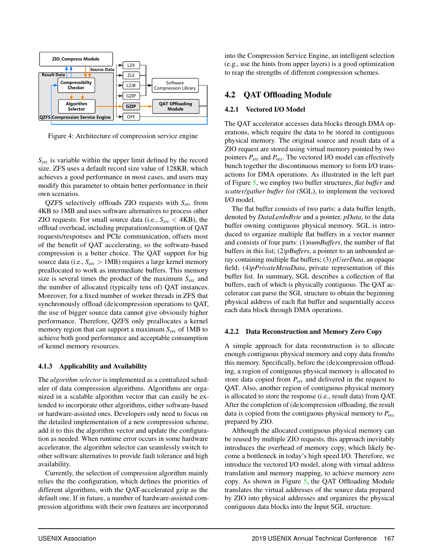<span id="page-5-0"></span>

Figure 4: Architecture of compression service engine

*Ssrc* is variable within the upper limit defined by the record size. ZFS uses a default record size value of 128KB, which achieves a good performance in most cases, and users may modify this parameter to obtain better performance in their own scenarios.

QZFS selectively offloads ZIO requests with *Ssrc* from 4KB to 1MB and uses software alternatives to process other ZIO requests. For small source data (i.e., *Ssrc* < 4KB), the offload overhead, including preparation/consumption of QAT requests/responses and PCIe communication, offsets most of the benefit of QAT accelerating, so the software-based compression is a better choice. The QAT support for big source data (i.e., *Ssrc* > 1MB) requires a large kernel memory preallocated to work as intermediate buffers. This memory size is several times the product of the maximum *Ssrc* and the number of allocated (typically tens of) QAT instances. Moreover, for a fixed number of worker threads in ZFS that synchronously offload (de)compression operations to QAT, the use of bigger source data cannot give obviously higher performance. Therefore, QZFS only preallocates a kernel memory region that can support a maximum *Ssrc* of 1MB to achieve both good performance and acceptable consumption of kennel memory resources.

#### 4.1.3 Applicability and Availability

The *algorithm selector* is implemented as a centralized scheduler of data compression algorithms. Algorithms are organized in a scalable algorithm vector that can easily be extended to incorporate other algorithms, either software-based or hardware-assisted ones. Developers only need to focus on the detailed implementation of a new compression scheme, add it to this the algorithm vector and update the configuration as needed. When runtime error occurs in some hardware accelerator, the algorithm selector can seamlessly switch to other software alternatives to provide fault tolerance and high availability.

Currently, the selection of compression algorithm mainly relies the the configuration, which defines the priorities of different algorithms, with the QAT-accelerated gzip as the default one. If in future, a number of hardware-assisted compression algorithms with their own features are incorporated

into the Compression Service Engine, an intelligent selection (e.g., use the hints from upper layers) is a good optimization to reap the strengths of different compression schemes.

## 4.2 QAT Offloading Module

#### 4.2.1 Vectored I/O Model

The QAT accelerator accesses data blocks through DMA operations, which require the data to be stored in contiguous physical memory. The original source and result data of a ZIO request are stored using virtual memory pointed by two pointers *Psrc* and *Pres*. The vectored I/O model can effectively bunch together the discontinuous memory to form I/O transactions for DMA operations. As illustrated in the left part of Figure [5,](#page-6-0) we employ two buffer structures, *flat buffer* and *scatter/gather buffer list* (SGL), to implement the vectored I/O model.

The flat buffer consists of two parts: a data buffer length, denoted by *DataLenInByte* and a pointer, *pData*, to the data buffer owning contiguous physical memory. SGL is introduced to organize multiple flat buffers in a vector manner and consists of four parts: (1)*numBuffers*, the number of flat buffers in this list; (2)*pBuffers*, a pointer to an unbounded array containing multiple flat buffers; (3) *pUserData*, an opaque field; (4)*pPrivateMetaData*, private representation of this buffer list. In summary, SGL describes a collection of flat buffers, each of which is physically contiguous. The QAT accelerator can parse the SGL structure to obtain the beginning physical address of each flat buffer and sequentially access each data block through DMA operations.

#### 4.2.2 Data Reconstruction and Memory Zero Copy

A simple approach for data reconstruction is to allocate enough contiguous physical memory and copy data from/to this memory. Specifically, before the (de)compression offloading, a region of contiguous physical memory is allocated to store data copied from *Psrc* and delivered in the request to QAT. Also, another region of contiguous physical memory is allocated to store the response (i.e., result data) from QAT. After the completion of (de)compression offloading, the result data is copied from the contiguous physical memory to *Pres* prepared by ZIO.

Although the allocated contiguous physical memory can be reused by multiple ZIO requests, this approach inevitably introduces the overhead of memory copy, which likely become a bottleneck in today's high speed I/O. Therefore, we introduce the vectored I/O model, along with virtual address translation and memory mapping, to achieve memory zero copy. As shown in Figure [5,](#page-6-0) the QAT Offloading Module translates the virtual addresses of the source data prepared by ZIO into physical addresses and organizes the physical contiguous data blocks into the Input SGL structure.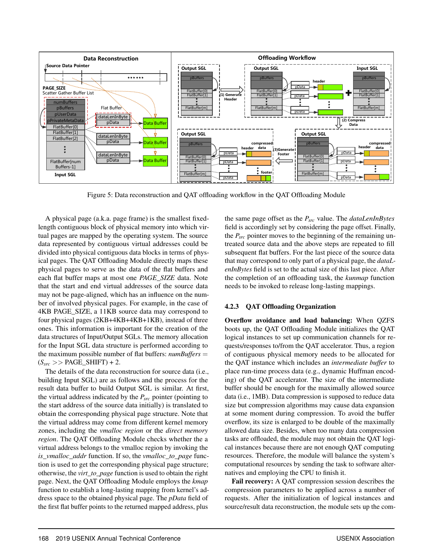<span id="page-6-0"></span>

Figure 5: Data reconstruction and QAT offloading workflow in the QAT Offloading Module

A physical page (a.k.a. page frame) is the smallest fixedlength contiguous block of physical memory into which virtual pages are mapped by the operating system. The source data represented by contiguous virtual addresses could be divided into physical contiguous data blocks in terms of physical pages. The QAT Offloading Module directly maps these physical pages to serve as the data of the flat buffers and each flat buffer maps at most one *PAGE\_SIZE* data. Note that the start and end virtual addresses of the source data may not be page-aligned, which has an influence on the number of involved physical pages. For example, in the case of 4KB PAGE\_SIZE, a 11KB source data may correspond to four physical pages (2KB+4KB+4KB+1KB), instead of three ones. This information is important for the creation of the data structures of Input/Output SGLs. The memory allocation for the Input SGL data structure is performed according to the maximum possible number of flat buffers: *numBuffers* =  $(S<sub>src</sub> >> PAGE\_SHIFT) + 2.$ 

The details of the data reconstruction for source data (i.e., building Input SGL) are as follows and the process for the result data buffer to build Output SGL is similar. At first, the virtual address indicated by the *Psrc* pointer (pointing to the start address of the source data initially) is translated to obtain the corresponding physical page structure. Note that the virtual address may come from different kernel memory zones, including the *vmalloc region* or the *direct memory region*. The QAT Offloading Module checks whether the a virtual address belongs to the vmalloc region by invoking the *is\_vmalloc\_addr* function. If so, the *vmalloc\_to\_page* function is used to get the corresponding physical page structure; otherwise, the *virt\_to\_page* function is used to obtain the right page. Next, the QAT Offloading Module employs the *kmap* function to establish a long-lasting mapping from kernel's address space to the obtained physical page. The *pData* field of the first flat buffer points to the returned mapped address, plus

the same page offset as the *Psrc* value. The *dataLenInBytes* field is accordingly set by considering the page offset. Finally, the *Psrc* pointer moves to the beginning of the remaining untreated source data and the above steps are repeated to fill subsequent flat buffers. For the last piece of the source data that may correspond to only part of a physical page, the *dataLenInBytes* field is set to the actual size of this last piece. After the completion of an offloading task, the *kunmap* function needs to be invoked to release long-lasting mappings.

#### 4.2.3 QAT Offloading Organization

Overflow avoidance and load balancing: When QZFS boots up, the QAT Offloading Module initializes the QAT logical instances to set up communication channels for requests/responses to/from the QAT accelerator. Thus, a region of contiguous physical memory needs to be allocated for the QAT instance which includes an *intermediate buffer* to place run-time process data (e.g., dynamic Huffman encoding) of the QAT accelerator. The size of the intermediate buffer should be enough for the maximally allowed source data (i.e., 1MB). Data compression is supposed to reduce data size but compression algorithms may cause data expansion at some moment during compression. To avoid the buffer overflow, its size is enlarged to be double of the maximally allowed data size. Besides, when too many data compression tasks are offloaded, the module may not obtain the QAT logical instances because there are not enough QAT computing resources. Therefore, the module will balance the system's computational resources by sending the task to software alternatives and employing the CPU to finish it.

Fail recovery: A QAT compression session describes the compression parameters to be applied across a number of requests. After the initialization of logical instances and source/result data reconstruction, the module sets up the com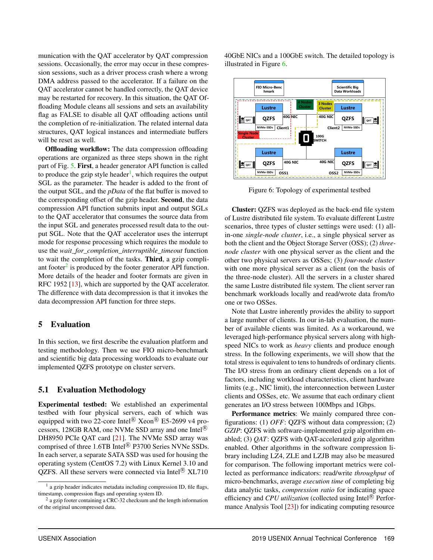munication with the QAT accelerator by QAT compression sessions. Occasionally, the error may occur in these compression sessions, such as a driver process crash where a wrong DMA address passed to the accelerator. If a failure on the QAT accelerator cannot be handled correctly, the QAT device may be restarted for recovery. In this situation, the QAT Offloading Module cleans all sessions and sets an availability flag as FALSE to disable all QAT offloading actions until the completion of re-initialization. The related internal data structures, QAT logical instances and intermediate buffers will be reset as well.

Offloading workflow: The data compression offloading operations are organized as three steps shown in the right part of Fig. [5.](#page-6-0) First, a header generator API function is called to produce the gzip style header<sup>[1](#page-7-0)</sup>, which requires the output SGL as the parameter. The header is added to the front of the output SGL, and the *pData* of the flat buffer is moved to the corresponding offset of the gzip header. Second, the data compression API function submits input and output SGLs to the QAT accelerator that consumes the source data from the input SGL and generates processed result data to the output SGL. Note that the QAT accelerator uses the interrupt mode for response processing which requires the module to use the *wait\_for\_completion\_interruptible\_timeout* function to wait the completion of the tasks. Third, a gzip compliant footer $<sup>2</sup>$  $<sup>2</sup>$  $<sup>2</sup>$  is produced by the footer generator API function.</sup> More details of the header and footer formats are given in RFC 1952 [\[13\]](#page-13-17), which are supported by the QAT accelerator. The difference with data decompression is that it invokes the data decompression API function for three steps.

#### 5 Evaluation

In this section, we first describe the evaluation platform and testing methodology. Then we use FIO micro-benchmark and scientific big data processing workloads to evaluate our implemented QZFS prototype on cluster servers.

#### 5.1 Evaluation Methodology

Experimental testbed: We established an experimental testbed with four physical servers, each of which was equipped with two 22-core Intel<sup>®</sup> Xeon<sup>®</sup> E5-2699 v4 processors, 128GB RAM, one NVMe SSD array and one Intel<sup>®</sup> DH8950 PCIe QAT card [\[21\]](#page-13-18). The NVMe SSD array was comprised of three 1.6TB Intel<sup> $\circledR$ </sup> P3700 Series NVNe SSDs. In each server, a separate SATA SSD was used for housing the operating system (CentOS 7.2) with Linux Kernel 3.10 and QZFS. All these servers were connected via Intel ${}^{\circledR}$  XL710

40GbE NICs and a 100GbE switch. The detailed topology is illustrated in Figure [6.](#page-7-2)

<span id="page-7-2"></span>

Figure 6: Topology of experimental testbed

Cluster: QZFS was deployed as the back-end file system of Lustre distributed file system. To evaluate different Lustre scenarios, three types of cluster settings were used: (1) allin-one *single-node cluster*, i.e., a single physical server as both the client and the Object Storage Server (OSS); (2) *threenode cluster* with one physical server as the client and the other two physical servers as OSSes; (3) *four-node cluster* with one more physical server as a client (on the basis of the three-node cluster). All the servers in a cluster shared the same Lustre distributed file system. The client server ran benchmark workloads locally and read/wrote data from/to one or two OSSes.

Note that Lustre inherently provides the ability to support a large number of clients. In our in-lab evaluation, the number of available clients was limited. As a workaround, we leveraged high-performance physical servers along with highspeed NICs to work as *heavy* clients and produce enough stress. In the following experiments, we will show that the total stress is equivalent to tens to hundreds of ordinary clients. The I/O stress from an ordinary client depends on a lot of factors, including workload characteristics, client hardware limits (e.g., NIC limit), the interconnection between Luster clients and OSSes, etc. We assume that each ordinary client generates an I/O stress between 100Mbps and 1Gbps.

Performance metrics: We mainly compared three configurations: (1) *OFF*: QZFS without data compression; (2) *GZIP*: QZFS with software-implemented gzip algorithm enabled; (3) *QAT*: QZFS with QAT-accelerated gzip algorithm enabled. Other algorithms in the software compression library including LZ4, ZLE and LZJB may also be measured for comparison. The following important metrics were collected as performance indicators: read/write *throughput* of micro-benchmarks, average *execution time* of completing big data analytic tasks, *compression ratio* for indicating space efficiency and *CPU utilization* (collected using Intel<sup>®</sup> Performance Analysis Tool [\[23\]](#page-13-19)) for indicating computing resource

<span id="page-7-0"></span><sup>&</sup>lt;sup>1</sup> a gzip header indicates metadata including compression ID, file flags, timestamp, compression flags and operating system ID.

<span id="page-7-1"></span><sup>&</sup>lt;sup>2</sup> a gzip footer containing a CRC-32 checksum and the length information of the original uncompressed data.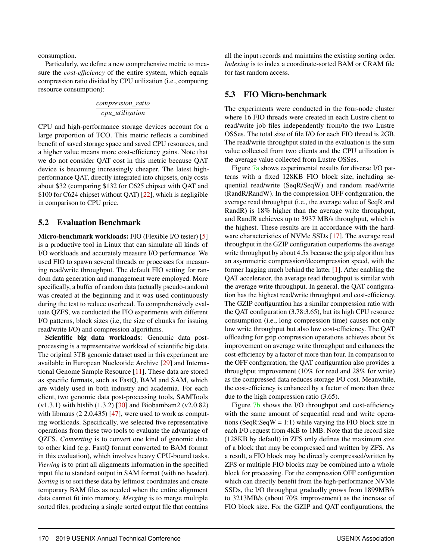consumption.

Particularly, we define a new comprehensive metric to measure the *cost-efficiency* of the entire system, which equals compression ratio divided by CPU utilization (i.e., computing resource consumption):

$$
\frac{compression\_ratio}{cpu\_utilization}
$$

CPU and high-performance storage devices account for a large proportion of TCO. This metric reflects a combined benefit of saved storage space and saved CPU resources, and a higher value means more cost-efficiency gains. Note that we do not consider QAT cost in this metric because QAT device is becoming increasingly cheaper. The latest highperformance QAT, directly integrated into chipsets, only costs about \$32 (comparing \$132 for C625 chipset with QAT and \$100 for C624 chipset without QAT) [\[22\]](#page-13-16), which is negligible in comparison to CPU price.

#### 5.2 Evaluation Benchmark

Micro-benchmark workloads: FIO (Flexible I/O tester) [\[5\]](#page-12-8) is a productive tool in Linux that can simulate all kinds of I/O workloads and accurately measure I/O performance. We used FIO to spawn several threads or processes for measuring read/write throughput. The default FIO setting for random data generation and management were employed. More specifically, a buffer of random data (actually pseudo-random) was created at the beginning and it was used continuously during the test to reduce overhead. To comprehensively evaluate QZFS, we conducted the FIO experiments with different I/O patterns, block sizes (i.e, the size of chunks for issuing read/write I/O) and compression algorithms.

Scientific big data workloads: Genomic data postprocessing is a representative workload of scientific big data. The original 3TB genomic dataset used in this experiment are available in European Nucleotide Archive [\[29\]](#page-13-20) and International Genome Sample Resource [\[11\]](#page-12-11). These data are stored as specific formats, such as FastQ, BAM and SAM, which are widely used in both industry and academia. For each client, two genomic data post-processing tools, SAMTools (v1.3.1) with htslib (1.3.2) [\[30\]](#page-13-15) and Biobambam2 (v2.0.82) with libmaus (2 2.0.435) [\[47\]](#page-14-15), were used to work as computing workloads. Specifically, we selected five representative operations from these two tools to evaluate the advantage of QZFS. *Converting* is to convert one kind of genomic data to other kind (e.g. FastQ format converted to BAM format in this evaluation), which involves heavy CPU-bound tasks. *Viewing* is to print all alignments information in the specified input file to standard output in SAM format (with no header). *Sorting* is to sort these data by leftmost coordinates and create temporary BAM files as needed when the entire alignment data cannot fit into memory. *Merging* is to merge multiple sorted files, producing a single sorted output file that contains

all the input records and maintains the existing sorting order. *Indexing* is to index a coordinate-sorted BAM or CRAM file for fast random access.

## 5.3 FIO Micro-benchmark

The experiments were conducted in the four-node cluster where 16 FIO threads were created in each Lustre client to read/write job files independently from/to the two Lustre OSSes. The total size of file I/O for each FIO thread is 2GB. The read/write throughput stated in the evaluation is the sum value collected from two clients and the CPU utilization is the average value collected from Lustre OSSes.

Figure [7a](#page-9-0) shows experimental results for diverse I/O patterns with a fixed 128KB FIO block size, including sequential read/write (SeqR/SeqW) and random read/write (RandR/RandW). In the compression OFF configuration, the average read throughput (i.e., the average value of SeqR and RandR) is 18% higher than the average write throughput, and RandR achieves up to 3937 MB/s throughput, which is the highest. These results are in accordance with the hardware characteristics of NVMe SSDs [\[17\]](#page-13-21). The average read throughput in the GZIP configuration outperforms the average write throughput by about 4.5x because the gzip algorithm has an asymmetric compression/decompression speed, with the former lagging much behind the latter [\[1\]](#page-12-4). After enabling the QAT accelerator, the average read throughput is similar with the average write throughput. In general, the QAT configuration has the highest read/write throughput and cost-efficiency. The GZIP configuration has a similar compression ratio with the QAT configuration (3.78:3.65), but its high CPU resource consumption (i.e., long compression time) causes not only low write throughput but also low cost-efficiency. The QAT offloading for gzip compression operations achieves about 5x improvement on average write throughput and enhances the cost-efficiency by a factor of more than four. In comparison to the OFF configuration, the QAT configuration also provides a throughput improvement (10% for read and 28% for write) as the compressed data reduces storage I/O cost. Meanwhile, the cost-efficiency is enhanced by a factor of more than three due to the high compression ratio (3.65).

Figure [7b](#page-9-1) shows the I/O throughput and cost-efficiency with the same amount of sequential read and write operations (SeqR:SeqW = 1:1) while varying the FIO block size in each I/O request from 4KB to 1MB. Note that the record size (128KB by default) in ZFS only defines the maximum size of a block that may be compressed and written by ZFS. As a result, a FIO block may be directly compressed/written by ZFS or multiple FIO blocks may be combined into a whole block for processing. For the compression OFF configuration which can directly benefit from the high-performance NVMe SSDs, the I/O throughput gradually grows from 1899MB/s to 3213MB/s (about 70% improvement) as the increase of FIO block size. For the GZIP and QAT configurations, the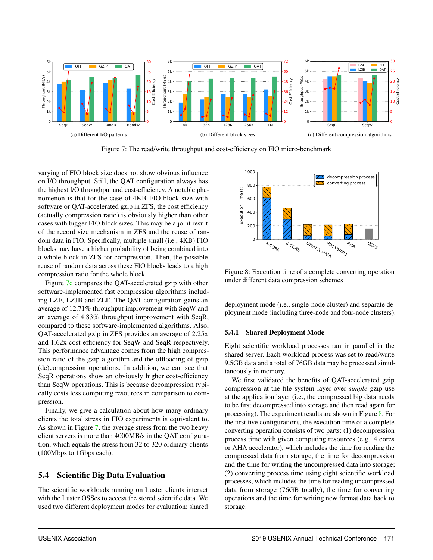<span id="page-9-3"></span><span id="page-9-0"></span>

<span id="page-9-1"></span>Figure 7: The read/write throughput and cost-efficiency on FIO micro-benchmark

varying of FIO block size does not show obvious influence on I/O throughput. Still, the QAT configuration always has the highest I/O throughput and cost-efficiency. A notable phenomenon is that for the case of 4KB FIO block size with software or QAT-accelerated gzip in ZFS, the cost efficiency (actually compression ratio) is obviously higher than other cases with bigger FIO block sizes. This may be a joint result of the record size mechanism in ZFS and the reuse of random data in FIO. Specifically, multiple small (i.e., 4KB) FIO blocks may have a higher probability of being combined into a whole block in ZFS for compression. Then, the possible reuse of random data across these FIO blocks leads to a high compression ratio for the whole block.

Figure [7c](#page-9-2) compares the QAT-accelerated gzip with other software-implemented fast compression algorithms including LZE, LZJB and ZLE. The QAT configuration gains an average of 12.71% throughput improvement with SeqW and an average of 4.83% throughput improvement with SeqR, compared to these software-implemented algorithms. Also, QAT-accelerated gzip in ZFS provides an average of 2.25x and 1.62x cost-efficiency for SeqW and SeqR respectively. This performance advantage comes from the high compression ratio of the gzip algorithm and the offloading of gzip (de)compression operations. In addition, we can see that SeqR operations show an obviously higher cost-efficiency than SeqW operations. This is because decompression typically costs less computing resources in comparison to compression.

Finally, we give a calculation about how many ordinary clients the total stress in FIO experiments is equivalent to. As shown in Figure [7,](#page-9-3) the average stress from the two heavy client servers is more than 4000MB/s in the QAT configuration, which equals the stress from 32 to 320 ordinary clients (100Mbps to 1Gbps each).

## 5.4 Scientific Big Data Evaluation

The scientific workloads running on Luster clients interact with the Luster OSSes to access the stored scientific data. We used two different deployment modes for evaluation: shared

<span id="page-9-4"></span><span id="page-9-2"></span>

Figure 8: Execution time of a complete converting operation under different data compression schemes

deployment mode (i.e., single-node cluster) and separate deployment mode (including three-node and four-node clusters).

#### 5.4.1 Shared Deployment Mode

Eight scientific workload processes ran in parallel in the shared server. Each workload process was set to read/write 9.5GB data and a total of 76GB data may be processed simultaneously in memory.

We first validated the benefits of QAT-accelerated gzip compression at the file system layer over *simple* gzip use at the application layer (i.e., the compressed big data needs to be first decompressed into storage and then read again for processing). The experiment results are shown in Figure [8.](#page-9-4) For the first five configurations, the execution time of a complete converting operation consists of two parts: (1) decompression process time with given computing resources (e.g., 4 cores or AHA accelerator), which includes the time for reading the compressed data from storage, the time for decompression and the time for writing the uncompressed data into storage; (2) converting process time using eight scientific workload processes, which includes the time for reading uncompressed data from storage (76GB totally), the time for converting operations and the time for writing new format data back to storage.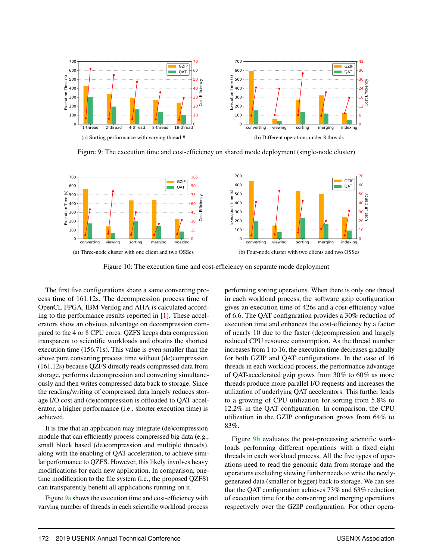<span id="page-10-0"></span>

<span id="page-10-1"></span>Figure 9: The execution time and cost-efficiency on shared mode deployment (single-node cluster)

<span id="page-10-2"></span>

Figure 10: The execution time and cost-efficiency on separate mode deployment

The first five configurations share a same converting process time of 161.12s. The decompression process time of OpenCL FPGA, IBM Verilog and AHA is calculated according to the performance results reported in [\[1\]](#page-12-4). These accelerators show an obvious advantage on decompression compared to the 4 or 8 CPU cores. QZFS keeps data compression transparent to scientific workloads and obtains the shortest execution time (156.71s). This value is even smaller than the above pure converting process time without (de)compression (161.12s) because QZFS directly reads compressed data from storage, performs decompression and converting simultaneously and then writes compressed data back to storage. Since the reading/writing of compressed data largely reduces storage I/O cost and (de)compression is offloaded to QAT accelerator, a higher performance (i.e., shorter execution time) is achieved.

It is true that an application may integrate (de)compression module that can efficiently process compressed big data (e.g., small block based (de)compression and multiple threads), along with the enabling of QAT acceleration, to achieve similar performance to QZFS. However, this likely involves heavy modifications for each new application. In comparison, onetime modification to the file system (i.e., the proposed QZFS) can transparently benefit all applications running on it.

Figure [9a](#page-10-0) shows the execution time and cost-efficiency with varying number of threads in each scientific workload process <span id="page-10-3"></span>performing sorting operations. When there is only one thread in each workload process, the software gzip configuration gives an execution time of 426s and a cost-efficiency value of 6.6. The QAT configuration provides a 30% reduction of execution time and enhances the cost-efficiency by a factor of nearly 10 due to the faster (de)compression and largely reduced CPU resource consumption. As the thread number increases from 1 to 16, the execution time decreases gradually for both GZIP and QAT configurations. In the case of 16 threads in each workload process, the performance advantage of QAT-accelerated gzip grows from 30% to 60% as more threads produce more parallel I/O requests and increases the utilization of underlying QAT accelerators. This further leads to a growing of CPU utilization for sorting from 5.8% to 12.2% in the QAT configuration. In comparison, the CPU utilization in the GZIP configuration grows from 64% to 83%.

Figure [9b](#page-10-1) evaluates the post-processing scientific workloads performing different operations with a fixed eight threads in each workload process. All the five types of operations need to read the genomic data from storage and the operations excluding viewing further needs to write the newlygenerated data (smaller or bigger) back to storage. We can see that the QAT configuration achieves 73% and 63% reduction of execution time for the converting and merging operations respectively over the GZIP configuration. For other opera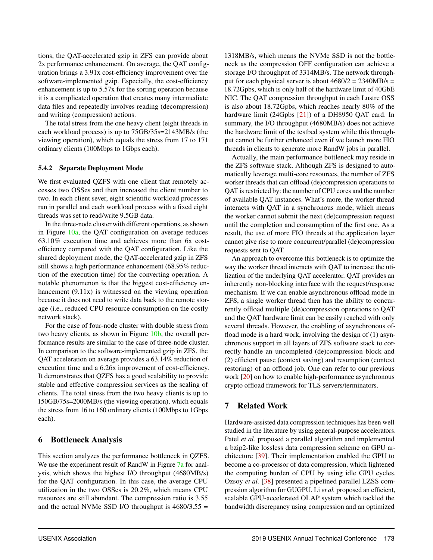tions, the QAT-accelerated gzip in ZFS can provide about 2x performance enhancement. On average, the QAT configuration brings a 3.91x cost-efficiency improvement over the software-implemented gzip. Especially, the cost-efficiency enhancement is up to 5.57x for the sorting operation because it is a complicated operation that creates many intermediate data files and repeatedly involves reading (decompression) and writing (compression) actions.

The total stress from the one heavy client (eight threads in each workload process) is up to 75GB/35s=2143MB/s (the viewing operation), which equals the stress from 17 to 171 ordinary clients (100Mbps to 1Gbps each).

#### 5.4.2 Separate Deployment Mode

We first evaluated QZFS with one client that remotely accesses two OSSes and then increased the client number to two. In each client sever, eight scientific workload processes ran in parallel and each workload process with a fixed eight threads was set to read/write 9.5GB data.

In the three-node cluster with different operations, as shown in Figure [10a,](#page-10-2) the QAT configuration on average reduces 63.10% execution time and achieves more than 6x costefficiency compared with the QAT configuration. Like the shared deployment mode, the QAT-accelerated gzip in ZFS still shows a high performance enhancement (68.95% reduction of the execution time) for the converting operation. A notable phenomenon is that the biggest cost-efficiency enhancement (9.11x) is witnessed on the viewing operation because it does not need to write data back to the remote storage (i.e., reduced CPU resource consumption on the costly network stack).

For the case of four-node cluster with double stress from two heavy clients, as shown in Figure [10b,](#page-10-3) the overall performance results are similar to the case of three-node cluster. In comparison to the software-implemented gzip in ZFS, the QAT acceleration on average provides a 63.14% reduction of execution time and a 6.26x improvement of cost-efficiency. It demonstrates that QZFS has a good scalability to provide stable and effective compression services as the scaling of clients. The total stress from the two heavy clients is up to 150GB/75s=2000MB/s (the viewing operation), which equals the stress from 16 to 160 ordinary clients (100Mbps to 1Gbps each).

## 6 Bottleneck Analysis

This section analyzes the performance bottleneck in QZFS. We use the experiment result of RandW in Figure [7a](#page-9-0) for analysis, which shows the highest I/O throughput (4680MB/s) for the QAT configuration. In this case, the average CPU utilization in the two OSSes is 20.2%, which means CPU resources are still abundant. The compression ratio is 3.55 and the actual NVMe SSD I/O throughput is  $4680/3.55 =$ 

1318MB/s, which means the NVMe SSD is not the bottleneck as the compression OFF configuration can achieve a storage I/O throughput of 3314MB/s. The network throughput for each physical server is about  $4680/2 = 2340MB/s =$ 18.72Gpbs, which is only half of the hardware limit of 40GbE NIC. The QAT compression throughput in each Lustre OSS is also about 18.72Gpbs, which reaches nearly 80% of the hardware limit (24Gpbs [\[21\]](#page-13-18)) of a DH8950 QAT card. In summary, the I/O throughput (4680MB/s) does not achieve the hardware limit of the testbed system while this throughput cannot be further enhanced even if we launch more FIO threads in clients to generate more RandW jobs in parallel.

Actually, the main performance bottleneck may reside in the ZFS software stack. Although ZFS is designed to automatically leverage multi-core resources, the number of ZFS worker threads that can offload (de)compression operations to QAT is restricted by: the number of CPU cores and the number of available QAT instances. What's more, the worker thread interacts with QAT in a synchronous mode, which means the worker cannot submit the next (de)compression request until the completion and consumption of the first one. As a result, the use of more FIO threads at the application layer cannot give rise to more concurrent/parallel (de)compression requests sent to QAT.

An approach to overcome this bottleneck is to optimize the way the worker thread interacts with QAT to increase the utilization of the underlying QAT accelerator. QAT provides an inherently non-blocking interface with the request/response mechanism. If we can enable asynchronous offload mode in ZFS, a single worker thread then has the ability to concurrently offload multiple (de)compression operations to QAT and the QAT hardware limit can be easily reached with only several threads. However, the enabling of asynchronous offload mode is a hard work, involving the design of (1) asynchronous support in all layers of ZFS software stack to correctly handle an uncompleted (de)compression block and (2) efficient pause (context saving) and resumption (context restoring) of an offload job. One can refer to our previous work [\[20\]](#page-13-22) on how to enable high-performance asynchronous crypto offload framework for TLS servers/terminators.

## 7 Related Work

Hardware-assisted data compression techniques has been well studied in the literature by using general-purpose accelerators. Patel *et al.* proposed a parallel algorithm and implemented a bzip2-like lossless data compression scheme on GPU architecture [\[39\]](#page-14-16). Their implementation enabled the GPU to become a co-processor of data compression, which lightened the computing burden of CPU by using idle GPU cycles. Ozsoy *et al.* [\[38\]](#page-14-4) presented a pipelined parallel LZSS compression algorithm for GUGPU. Li *et al.* proposed an efficient, scalable GPU-accelerated OLAP system which tackled the bandwidth discrepancy using compression and an optimized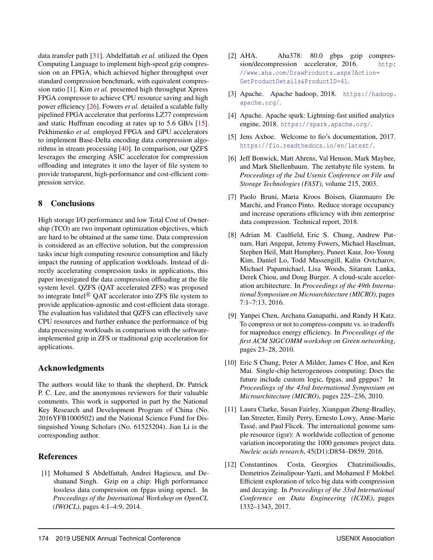data transfer path [\[31\]](#page-13-10). Abdelfattah *et al.* utilized the Open Computing Language to implement high-speed gzip compression on an FPGA, which achieved higher throughput over standard compression benchmark, with equivalent compression ratio [\[1\]](#page-12-4). Kim *et al.* presented high throughput Xpress FPGA compressor to achieve CPU resource saving and high power efficiency [\[26\]](#page-13-23). Fowers *et al.* detailed a scalable fully pipelined FPGA accelerator that performs LZ77 compression and static Huffman encoding at rates up to 5.6 GB/s [\[15\]](#page-13-2). Pekhimenko *et al.* employed FPGA and GPU accelerators to implement Base-Delta encoding data compression algorithms in stream processing [\[40\]](#page-14-1). In comparison, our QZFS leverages the emerging ASIC accelerator for compression offloading and integrates it into the layer of file system to provide transparent, high-performance and cost-efficient compression service.

## 8 Conclusions

High storage I/O performance and low Total Cost of Ownership (TCO) are two important optimization objectives, which are hard to be obtained at the same time. Data compression is considered as an effective solution, but the compression tasks incur high computing resource consumption and likely impact the running of application workloads. Instead of directly accelerating compression tasks in applications, this paper investigated the data compression offloading at the file system level. QZFS (QAT accelerated ZFS) was proposed to integrate Intel $\mathbb{R}$  QAT accelerator into ZFS file system to provide application-agnostic and cost-efficient data storage. The evaluation has validated that QZFS can effectively save CPU resources and further enhance the performance of big data processing workloads in comparison with the softwareimplemented gzip in ZFS or traditional gzip acceleration for applications.

## Acknowledgments

The authors would like to thank the shepherd, Dr. Patrick P. C. Lee, and the anonymous reviewers for their valuable comments. This work is supported in part by the National Key Research and Development Program of China (No. 2016YFB1000502) and the National Science Fund for Distinguished Young Scholars (No. 61525204). Jian Li is the corresponding author.

## References

<span id="page-12-4"></span>[1] Mohamed S Abdelfattah, Andrei Hagiescu, and Deshanand Singh. Gzip on a chip: High performance lossless data compression on fpgas using opencl. In *Proceedings of the International Workshop on OpenCL (IWOCL)*, pages 4:1–4:9, 2014.

- <span id="page-12-6"></span>[2] AHA. Aha378: 80.0 gbps gzip compression/decompression accelerator, 2016. [http:](http://www.aha.com/DrawProducts.aspx?Action=GetProductDetails&ProductID=41) [//www.aha.com/DrawProducts.aspx?Action=](http://www.aha.com/DrawProducts.aspx?Action=GetProductDetails&ProductID=41) [GetProductDetails&ProductID=41](http://www.aha.com/DrawProducts.aspx?Action=GetProductDetails&ProductID=41).
- <span id="page-12-2"></span>[3] Apache. Apache hadoop, 2018. [https://hadoop.](https://hadoop.apache.org/) [apache.org/](https://hadoop.apache.org/).
- <span id="page-12-3"></span>[4] Apache. Apache spark: Lightning-fast unified analytics engine, 2018. <https://spark.apache.org/>.
- <span id="page-12-8"></span>[5] Jens Axboe. Welcome to fio's documentation, 2017. <https://fio.readthedocs.io/en/latest/>.
- <span id="page-12-7"></span>[6] Jeff Bonwick, Matt Ahrens, Val Henson, Mark Maybee, and Mark Shellenbaum. The zettabyte file system. In *Proceedings of the 2nd Usenix Conference on File and Storage Technologies (FAST)*, volume 215, 2003.
- <span id="page-12-0"></span>[7] Paolo Bruni, Maria Kroos Boisen, Gianmauro De Marchi, and Franco Pinto. Reduce storage occupancy and increase operations efficiency with ibm zenterprise data compression. Technical report, 2018.
- <span id="page-12-10"></span>[8] Adrian M. Caulfield, Eric S. Chung, Andrew Putnam, Hari Angepat, Jeremy Fowers, Michael Haselman, Stephen Heil, Matt Humphrey, Puneet Kaur, Joo-Young Kim, Daniel Lo, Todd Massengill, Kalin Ovtcharov, Michael Papamichael, Lisa Woods, Sitaram Lanka, Derek Chiou, and Doug Burger. A cloud-scale acceleration architecture. In *Proceedings of the 49th International Symposium on Microarchitecture (MICRO)*, pages 7:1–7:13, 2016.
- <span id="page-12-5"></span>[9] Yanpei Chen, Archana Ganapathi, and Randy H Katz. To compress or not to compress-compute vs. io tradeoffs for mapreduce energy efficiency. In *Proceedings of the first ACM SIGCOMM workshop on Green networking*, pages 23–28, 2010.
- <span id="page-12-9"></span>[10] Eric S Chung, Peter A Milder, James C Hoe, and Ken Mai. Single-chip heterogeneous computing: Does the future include custom logic, fpgas, and gpgpus? In *Proceedings of the 43rd International Symposium on Microarchitecture (MICRO)*, pages 225–236, 2010.
- <span id="page-12-11"></span>[11] Laura Clarke, Susan Fairley, Xiangqun Zheng-Bradley, Ian Streeter, Emily Perry, Ernesto Lowy, Anne-Marie Tassé, and Paul Flicek. The international genome sample resource (igsr): A worldwide collection of genome variation incorporating the 1000 genomes project data. *Nucleic acids research*, 45(D1):D854–D859, 2016.
- <span id="page-12-1"></span>[12] Constantinos Costa, Georgios Chatzimilioudis, Demetrios Zeinalipour-Yazti, and Mohamed F Mokbel. Efficient exploration of telco big data with compression and decaying. In *Proceedings of the 33rd International Conference on Data Engineering (ICDE)*, pages 1332–1343, 2017.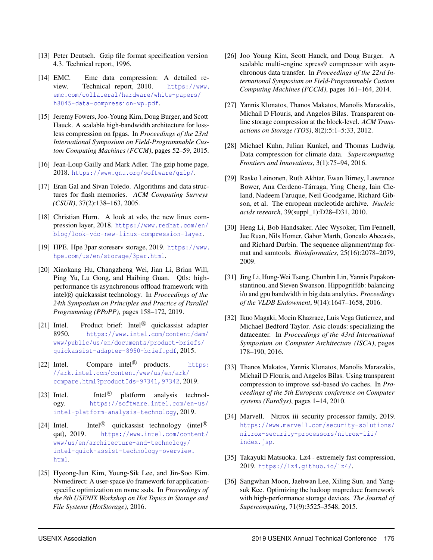- <span id="page-13-17"></span>[13] Peter Deutsch. Gzip file format specification version 4.3. Technical report, 1996.
- <span id="page-13-0"></span>[14] EMC. Emc data compression: A detailed review. Technical report, 2010. [https://www.](https://www.emc.com/collateral/hardware/white-papers/h8045-data-compression-wp.pdf) [emc.com/collateral/hardware/white-papers/](https://www.emc.com/collateral/hardware/white-papers/h8045-data-compression-wp.pdf) [h8045-data-compression-wp.pdf](https://www.emc.com/collateral/hardware/white-papers/h8045-data-compression-wp.pdf).
- <span id="page-13-2"></span>[15] Jeremy Fowers, Joo-Young Kim, Doug Burger, and Scott Hauck. A scalable high-bandwidth architecture for lossless compression on fpgas. In *Proceedings of the 23rd International Symposium on Field-Programmable Custom Computing Machines (FCCM)*, pages 52–59, 2015.
- <span id="page-13-12"></span>[16] Jean-Loup Gailly and Mark Adler. The gzip home page, 2018. <https://www.gnu.org/software/gzip/>.
- <span id="page-13-21"></span>[17] Eran Gal and Sivan Toledo. Algorithms and data structures for flash memories. *ACM Computing Surveys (CSUR)*, 37(2):138–163, 2005.
- <span id="page-13-1"></span>[18] Christian Horn. A look at vdo, the new linux compression layer, 2018. [https://www.redhat.com/en/](https://www.redhat.com/en/blog/look-vdo-new-linux-compression-layer) [blog/look-vdo-new-linux-compression-layer](https://www.redhat.com/en/blog/look-vdo-new-linux-compression-layer).
- <span id="page-13-7"></span>[19] HPE. Hpe 3par storeserv storage, 2019. [https://www.](https://www.hpe.com/us/en/storage/3par.html) [hpe.com/us/en/storage/3par.html](https://www.hpe.com/us/en/storage/3par.html).
- <span id="page-13-22"></span>[20] Xiaokang Hu, Changzheng Wei, Jian Li, Brian Will, Ping Yu, Lu Gong, and Haibing Guan. Qtls: highperformance tls asynchronous offload framework with intel<sub>(R)</sub> quickassist technology. In *Proceedings of the 24th Symposium on Principles and Practice of Parallel Programming (PPoPP)*, pages 158–172, 2019.
- <span id="page-13-18"></span>[21] Intel. Product brief: Intel<sup>®</sup> quickassist adapter 8950. [https://www.intel.com/content/dam/](https://www.intel.com/content/dam/www/public/us/en/documents/product-briefs/quickassist-adapter-8950-brief.pdf) [www/public/us/en/documents/product-briefs/](https://www.intel.com/content/dam/www/public/us/en/documents/product-briefs/quickassist-adapter-8950-brief.pdf) [quickassist-adapter-8950-brief.pdf](https://www.intel.com/content/dam/www/public/us/en/documents/product-briefs/quickassist-adapter-8950-brief.pdf), 2015.
- <span id="page-13-16"></span>[22] Intel. Compare intel<sup>®</sup> products. [https:](https://ark.intel.com/content/www/us/en/ark/compare.html?productIds=97341,97342) [//ark.intel.com/content/www/us/en/ark/](https://ark.intel.com/content/www/us/en/ark/compare.html?productIds=97341,97342) [compare.html?productIds=97341,97342](https://ark.intel.com/content/www/us/en/ark/compare.html?productIds=97341,97342),2019.
- <span id="page-13-19"></span> $[23]$  Intel. Intel $\sup$  platform analysis technology. [https://software.intel.com/en-us/](https://software.intel.com/en-us/intel-platform-analysis-technology) [intel-platform-analysis-technology](https://software.intel.com/en-us/intel-platform-analysis-technology), 2019.
- <span id="page-13-3"></span> $[24]$  Intel. Intel<sup>®</sup> quickassist technology (intel<sup>®)</sup> qat), 2019. [https://www.intel.com/content/](https://www.intel.com/content/www/us/en/architecture-and-technology/intel-quick-assist-technology-overview.html) [www/us/en/architecture-and-technology/](https://www.intel.com/content/www/us/en/architecture-and-technology/intel-quick-assist-technology-overview.html) [intel-quick-assist-technology-overview.](https://www.intel.com/content/www/us/en/architecture-and-technology/intel-quick-assist-technology-overview.html) [html](https://www.intel.com/content/www/us/en/architecture-and-technology/intel-quick-assist-technology-overview.html).
- <span id="page-13-8"></span>[25] Hyeong-Jun Kim, Young-Sik Lee, and Jin-Soo Kim. Nvmedirect: A user-space i/o framework for applicationspecific optimization on nvme ssds. In *Proceedings of the 8th USENIX Workshop on Hot Topics in Storage and File Systems (HotStorage)*, 2016.
- <span id="page-13-23"></span>[26] Joo Young Kim, Scott Hauck, and Doug Burger. A scalable multi-engine xpress9 compressor with asynchronous data transfer. In *Proceedings of the 22rd International Symposium on Field-Programmable Custom Computing Machines (FCCM)*, pages 161–164, 2014.
- <span id="page-13-6"></span>[27] Yannis Klonatos, Thanos Makatos, Manolis Marazakis, Michail D Flouris, and Angelos Bilas. Transparent online storage compression at the block-level. *ACM Transactions on Storage (TOS)*, 8(2):5:1–5:33, 2012.
- <span id="page-13-9"></span>[28] Michael Kuhn, Julian Kunkel, and Thomas Ludwig. Data compression for climate data. *Supercomputing Frontiers and Innovations*, 3(1):75–94, 2016.
- <span id="page-13-20"></span>[29] Rasko Leinonen, Ruth Akhtar, Ewan Birney, Lawrence Bower, Ana Cerdeno-Tárraga, Ying Cheng, Iain Cleland, Nadeem Faruque, Neil Goodgame, Richard Gibson, et al. The european nucleotide archive. *Nucleic acids research*, 39(suppl\_1):D28–D31, 2010.
- <span id="page-13-15"></span>[30] Heng Li, Bob Handsaker, Alec Wysoker, Tim Fennell, Jue Ruan, Nils Homer, Gabor Marth, Goncalo Abecasis, and Richard Durbin. The sequence alignment/map format and samtools. *Bioinformatics*, 25(16):2078–2079, 2009.
- <span id="page-13-10"></span>[31] Jing Li, Hung-Wei Tseng, Chunbin Lin, Yannis Papakonstantinou, and Steven Swanson. Hippogriffdb: balancing i/o and gpu bandwidth in big data analytics. *Proceedings of the VLDB Endowment*, 9(14):1647–1658, 2016.
- <span id="page-13-5"></span>[32] Ikuo Magaki, Moein Khazraee, Luis Vega Gutierrez, and Michael Bedford Taylor. Asic clouds: specializing the datacenter. In *Proceedings of the 43rd International Symposium on Computer Architecture (ISCA)*, pages 178–190, 2016.
- <span id="page-13-14"></span>[33] Thanos Makatos, Yannis Klonatos, Manolis Marazakis, Michail D Flouris, and Angelos Bilas. Using transparent compression to improve ssd-based i/o caches. In *Proceedings of the 5th European conference on Computer systems (EuroSys)*, pages 1–14, 2010.
- <span id="page-13-4"></span>[34] Marvell. Nitrox iii security processor family, 2019. [https://www.marvell.com/security-solutions/](https://www.marvell.com/security-solutions/nitrox-security-processors/nitrox-iii/index.jsp) [nitrox-security-processors/nitrox-iii/](https://www.marvell.com/security-solutions/nitrox-security-processors/nitrox-iii/index.jsp) [index.jsp](https://www.marvell.com/security-solutions/nitrox-security-processors/nitrox-iii/index.jsp).
- <span id="page-13-13"></span>[35] Takayuki Matsuoka. Lz4 - extremely fast compression, 2019. <https://lz4.github.io/lz4/>.
- <span id="page-13-11"></span>[36] Sangwhan Moon, Jaehwan Lee, Xiling Sun, and Yangsuk Kee. Optimizing the hadoop mapreduce framework with high-performance storage devices. *The Journal of Supercomputing*, 71(9):3525–3548, 2015.